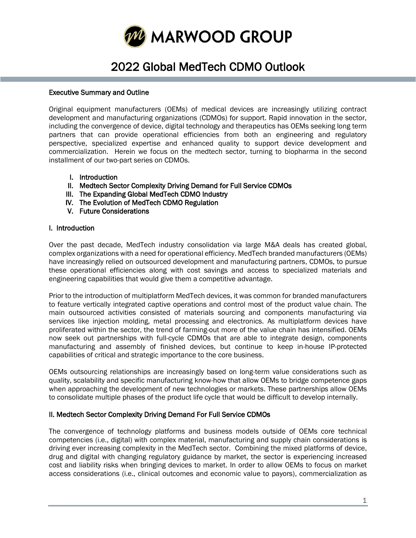

# 2022 Global MedTech CDMO Outlook

#### Executive Summary and Outline

Original equipment manufacturers (OEMs) of medical devices are increasingly utilizing contract development and manufacturing organizations (CDMOs) for support. Rapid innovation in the sector, including the convergence of device, digital technology and therapeutics has OEMs seeking long term partners that can provide operational efficiencies from both an engineering and regulatory perspective, specialized expertise and enhanced quality to support device development and commercialization. Herein we focus on the medtech sector, turning to biopharma in the second installment of our two-part series on CDMOs.

- I. Introduction
- II. Medtech Sector Complexity Driving Demand for Full Service CDMOs
- III. The Expanding Global MedTech CDMO Industry
- IV. The Evolution of MedTech CDMO Regulation
- V. Future Considerations

#### I. Introduction

Ĩ

Over the past decade, MedTech industry consolidation via large M&A deals has created global, complex organizations with a need for operational efficiency. MedTech branded manufacturers (OEMs) have increasingly relied on outsourced development and manufacturing partners, CDMOs, to pursue these operational efficiencies along with cost savings and access to specialized materials and engineering capabilities that would give them a competitive advantage.

Prior to the introduction of multiplatform MedTech devices, it was common for branded manufacturers to feature vertically integrated captive operations and control most of the product value chain. The main outsourced activities consisted of materials sourcing and components manufacturing via services like injection molding, metal processing and electronics. As multiplatform devices have proliferated within the sector, the trend of farming-out more of the value chain has intensified. OEMs now seek out partnerships with full-cycle CDMOs that are able to integrate design, components manufacturing and assembly of finished devices, but continue to keep in-house IP-protected capabilities of critical and strategic importance to the core business.

OEMs outsourcing relationships are increasingly based on long-term value considerations such as quality, scalability and specific manufacturing know-how that allow OEMs to bridge competence gaps when approaching the development of new technologies or markets. These partnerships allow OEMs to consolidate multiple phases of the product life cycle that would be difficult to develop internally.

## II. Medtech Sector Complexity Driving Demand For Full Service CDMOs

The convergence of technology platforms and business models outside of OEMs core technical competencies (i.e., digital) with complex material, manufacturing and supply chain considerations is driving ever increasing complexity in the MedTech sector. Combining the mixed platforms of device, drug and digital with changing regulatory guidance by market, the sector is experiencing increased cost and liability risks when bringing devices to market. In order to allow OEMs to focus on market access considerations (i.e., clinical outcomes and economic value to payors), commercialization as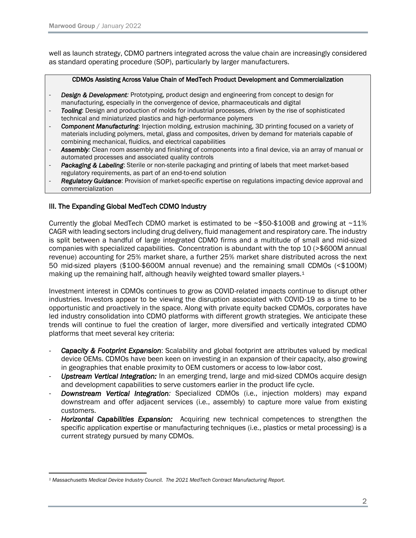well as launch strategy, CDMO partners integrated across the value chain are increasingly considered as standard operating procedure (SOP), particularly by larger manufacturers.

#### CDMOs Assisting Across Value Chain of MedTech Product Development and Commercialization

- **Design & Development:** Prototyping, product design and engineering from concept to design for manufacturing, especially in the convergence of device, pharmaceuticals and digital
- *Tooling*: Design and production of molds for industrial processes, driven by the rise of sophisticated technical and miniaturized plastics and high-performance polymers
- *Component Manufacturing:* Injection molding, extrusion machining, 3D printing focused on a variety of materials including polymers, metal, glass and composites, driven by demand for materials capable of combining mechanical, fluidics, and electrical capabilities
- Assembly: Clean room assembly and finishing of components into a final device, via an array of manual or automated processes and associated quality controls
- **Packaging & Labeling**: Sterile or non-sterile packaging and printing of labels that meet market-based regulatory requirements, as part of an end-to-end solution
- *Regulatory Guidance*: Provision of market-specific expertise on regulations impacting device approval and commercialization

#### III. The Expanding Global MedTech CDMO Industry

Currently the global MedTech CDMO market is estimated to be  $\sim$ \$50-\$100B and growing at  $\sim$ 11% CAGR with leading sectors including drug delivery, fluid management and respiratory care. The industry is split between a handful of large integrated CDMO firms and a multitude of small and mid-sized companies with specialized capabilities. Concentration is abundant with the top 10 (>\$600M annual revenue) accounting for 25% market share, a further 25% market share distributed across the next 50 mid-sized players (\$100-\$600M annual revenue) and the remaining small CDMOs (<\$100M) making up the remaining half, although heavily weighted toward smaller players.<sup>1</sup>

Investment interest in CDMOs continues to grow as COVID-related impacts continue to disrupt other industries. Investors appear to be viewing the disruption associated with COVID-19 as a time to be opportunistic and proactively in the space. Along with private equity backed CDMOs, corporates have led industry consolidation into CDMO platforms with different growth strategies. We anticipate these trends will continue to fuel the creation of larger, more diversified and vertically integrated CDMO platforms that meet several key criteria:

- **Capacity & Footprint Expansion:** Scalability and global footprint are attributes valued by medical device OEMs. CDMOs have been keen on investing in an expansion of their capacity, also growing in geographies that enable proximity to OEM customers or access to low-labor cost.
- *Upstream Vertical Integration:* In an emerging trend, large and mid-sized CDMOs acquire design and development capabilities to serve customers earlier in the product life cycle.
- *Downstream Vertical Integration:* Specialized CDMOs (i.e., injection molders) may expand downstream and offer adjacent services (i.e., assembly) to capture more value from existing customers.
- *Horizontal Capabilities Expansion:* Acquiring new technical competences to strengthen the specific application expertise or manufacturing techniques (i.e., plastics or metal processing) is a current strategy pursued by many CDMOs.

*<sup>1</sup> Massachusetts Medical Device Industry Council. The 2021 MedTech Contract Manufacturing Report.*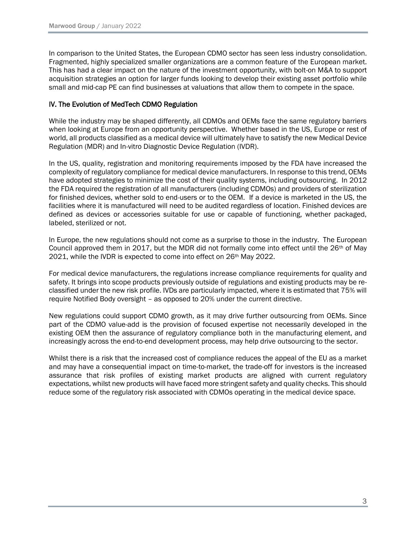In comparison to the United States, the European CDMO sector has seen less industry consolidation. Fragmented, highly specialized smaller organizations are a common feature of the European market. This has had a clear impact on the nature of the investment opportunity, with bolt-on M&A to support acquisition strategies an option for larger funds looking to develop their existing asset portfolio while small and mid-cap PE can find businesses at valuations that allow them to compete in the space.

### IV. The Evolution of MedTech CDMO Regulation

While the industry may be shaped differently, all CDMOs and OEMs face the same regulatory barriers when looking at Europe from an opportunity perspective. Whether based in the US, Europe or rest of world, all products classified as a medical device will ultimately have to satisfy the new Medical Device Regulation (MDR) and In-vitro Diagnostic Device Regulation (IVDR).

In the US, quality, registration and monitoring requirements imposed by the FDA have increased the complexity of regulatory compliance for medical device manufacturers. In response to this trend, OEMs have adopted strategies to minimize the cost of their quality systems, including outsourcing. In 2012 the FDA required the registration of all manufacturers (including CDMOs) and providers of sterilization for finished devices, whether sold to end-users or to the OEM. If a device is marketed in the US, the facilities where it is manufactured will need to be audited regardless of location. Finished devices are defined as devices or accessories suitable for use or capable of functioning, whether packaged, labeled, sterilized or not.

In Europe, the new regulations should not come as a surprise to those in the industry. The European Council approved them in 2017, but the MDR did not formally come into effect until the  $26<sup>th</sup>$  of May 2021, while the IVDR is expected to come into effect on 26th May 2022.

For medical device manufacturers, the regulations increase compliance requirements for quality and safety. It brings into scope products previously outside of regulations and existing products may be reclassified under the new risk profile. IVDs are particularly impacted, where it is estimated that 75% will require Notified Body oversight – as opposed to 20% under the current directive.

New regulations could support CDMO growth, as it may drive further outsourcing from OEMs. Since part of the CDMO value-add is the provision of focused expertise not necessarily developed in the existing OEM then the assurance of regulatory compliance both in the manufacturing element, and increasingly across the end-to-end development process, may help drive outsourcing to the sector.

Whilst there is a risk that the increased cost of compliance reduces the appeal of the EU as a market and may have a consequential impact on time-to-market, the trade-off for investors is the increased assurance that risk profiles of existing market products are aligned with current regulatory expectations, whilst new products will have faced more stringent safety and quality checks. This should reduce some of the regulatory risk associated with CDMOs operating in the medical device space.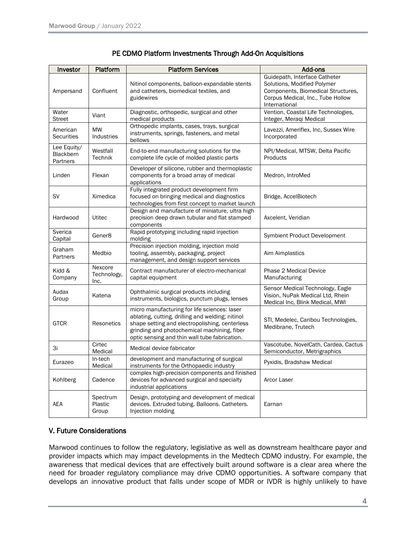| Investor                                    | Platform                       | <b>Platform Services</b>                                                                                                                                                                                                                           | Add-ons                                                                                                                                                  |
|---------------------------------------------|--------------------------------|----------------------------------------------------------------------------------------------------------------------------------------------------------------------------------------------------------------------------------------------------|----------------------------------------------------------------------------------------------------------------------------------------------------------|
| Ampersand                                   | Confluent                      | Nitinol components, balloon-expandable stents<br>and catheters, biomedical textiles, and<br>guidewires                                                                                                                                             | Guidepath, Interface Catheter<br>Solutions, Modified Polymer<br>Components, Biomedical Structures,<br>Corpus Medical, Inc., Tube Hollow<br>International |
| Water<br><b>Street</b>                      | Viant                          | Diagnostic, orthopedic, surgical and other<br>medical products                                                                                                                                                                                     | Vention, Coastal Life Technologies,<br>Integer, Meraqi Medical                                                                                           |
| American<br><b>Securities</b>               | <b>MW</b><br>Industries        | Orthopedic implants, cases, trays, surgical<br>instruments, springs, fasteners, and metal<br>bellows                                                                                                                                               | Lavezzi, Ameriflex, Inc, Sussex Wire<br>Incorporated                                                                                                     |
| Lee Equity/<br><b>Blackbern</b><br>Partners | Westfall<br><b>Technik</b>     | End-to-end manufacturing solutions for the<br>complete life cycle of molded plastic parts                                                                                                                                                          | NPI/Medical, MTSW, Delta Pacific<br>Products                                                                                                             |
| Linden                                      | Flexan                         | Developer of silicone, rubber and thermoplastic<br>components for a broad array of medical<br>applications                                                                                                                                         | Medron, IntroMed                                                                                                                                         |
| <b>SV</b>                                   | Ximedica                       | Fully integrated product development firm<br>focused on bringing medical and diagnostics<br>technologies from first concept to market launch                                                                                                       | Bridge, AccelBiotech                                                                                                                                     |
| Hardwood                                    | Utitec                         | Design and manufacture of miniature, ultra high<br>precision deep drawn tubular and flat stamped<br>components                                                                                                                                     | Axcelent, Veridian                                                                                                                                       |
| Sverica<br>Capital                          | Gener <sub>8</sub>             | Rapid prototyping including rapid injection<br>molding                                                                                                                                                                                             | Symbient Product Development                                                                                                                             |
| Graham<br>Partners                          | Medbio                         | Precision injection molding, injection mold<br>tooling, assembly, packaging, project<br>management, and design support services                                                                                                                    | Aim Aimplastics                                                                                                                                          |
| Kidd &<br>Company                           | Nexcore<br>Technology,<br>Inc. | Contract manufacturer of electro-mechanical<br>capital equipment                                                                                                                                                                                   | <b>Phase 2 Medical Device</b><br>Manufacturing                                                                                                           |
| Audax<br>Group                              | Katena                         | Ophthalmic surgical products including<br>instruments, biologics, punctum plugs, lenses                                                                                                                                                            | Sensor Medical Technology, Eagle<br>Vision, NuPak Medical Ltd, Rhein<br>Medical Inc, Blink Medical, MWI                                                  |
| <b>GTCR</b>                                 | Resonetics                     | micro manufacturing for life sciences: laser<br>ablating, cutting, drilling and welding; nitinol<br>shape setting and electropolishing, centerless<br>grinding and photochemical machining, fiber<br>optic sensing and thin wall tube fabrication. | STI, Medelec, Caribou Technologies,<br>Medibrane, Trutech                                                                                                |
| Зi                                          | Cirtec<br>Medical              | Medical device fabricator                                                                                                                                                                                                                          | Vascotube, NovelCath, Cardea, Cactus<br>Semiconductor, Metrigraphics                                                                                     |
| Eurazeo                                     | In-tech<br>Medical             | development and manufacturing of surgical<br>instruments for the Orthopaedic industry                                                                                                                                                              | Pyxidis, Bradshaw Medical                                                                                                                                |
| Kohlberg                                    | Cadence                        | complex high-precision components and finished<br>devices for advanced surgical and specialty<br>industrial applications                                                                                                                           | Arcor Laser                                                                                                                                              |
| <b>AEA</b>                                  | Spectrum<br>Plastic<br>Group   | Design, prototyping and development of medical<br>devices. Extruded tubing. Balloons. Catheters.<br>Injection molding                                                                                                                              | Earnan                                                                                                                                                   |

### PE CDMO Platform Investments Through Add-On Acquisitions

#### V. Future Considerations

Marwood continues to follow the regulatory, legislative as well as downstream healthcare payor and provider impacts which may impact developments in the Medtech CDMO industry. For example, the awareness that medical devices that are effectively built around software is a clear area where the need for broader regulatory compliance may drive CDMO opportunities. A software company that develops an innovative product that falls under scope of MDR or IVDR is highly unlikely to have